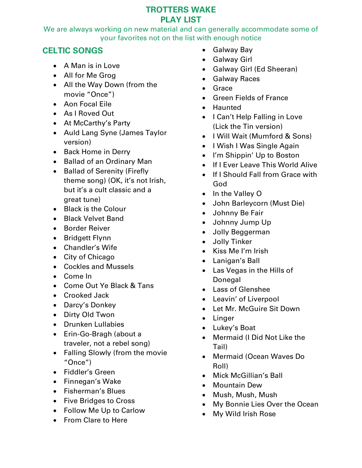### **TROTTERS WAKE PLAY LIST**

We are always working on new material and can generally accommodate some of your favorites not on the list with enough notice

## **CELTIC SONGS**

- A Man is in Love
- All for Me Grog
- All the Way Down (from the movie "Once")
- Aon Focal Eile
- As I Roved Out
- At McCarthy's Party
- Auld Lang Syne (James Taylor version)
- Back Home in Derry
- Ballad of an Ordinary Man
- Ballad of Serenity (Firefly theme song) (OK, it's not Irish, but it's a cult classic and a great tune)
- Black is the Colour
- Black Velvet Band
- Border Reiver
- Bridgett Flynn
- Chandler's Wife
- City of Chicago
- Cockles and Mussels
- Come In
- Come Out Ye Black & Tans
- Crooked Jack
- Darcy's Donkey
- Dirty Old Twon
- Drunken Lullabies
- Erin-Go-Bragh (about a traveler, not a rebel song)
- Falling Slowly (from the movie "Once")
- Fiddler's Green
- Finnegan's Wake
- Fisherman's Blues
- Five Bridges to Cross
- Follow Me Up to Carlow
- From Clare to Here
- Galway Bay
- Galway Girl
- Galway Girl (Ed Sheeran)
- Galway Races
- Grace
- Green Fields of France
- Haunted
- I Can't Help Falling in Love (Lick the Tin version)
- I Will Wait (Mumford & Sons)
- I Wish I Was Single Again
- I'm Shippin' Up to Boston
- If I Ever Leave This World Alive
- If I Should Fall from Grace with God
- In the Valley O
- John Barleycorn (Must Die)
- Johnny Be Fair
- Johnny Jump Up
- Jolly Beggerman
- Jolly Tinker
- Kiss Me I'm Irish
- Lanigan's Ball
- Las Vegas in the Hills of Donegal
- Lass of Glenshee
- Leavin' of Liverpool
- Let Mr. McGuire Sit Down
- Linger
- Lukey's Boat
- Mermaid (I Did Not Like the Tail)
- Mermaid (Ocean Waves Do Roll)
- Mick McGillian's Ball
- Mountain Dew
- Mush, Mush, Mush
- My Bonnie Lies Over the Ocean
- My Wild Irish Rose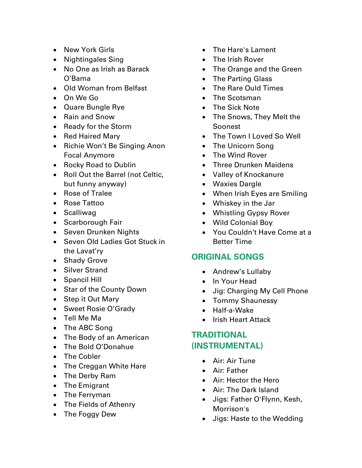- New York Girls
- Nightingales Sing
- No One as Irish as Barack O'Bama
- Old Woman from Belfast
- On We Go
- Quare Bungle Rye
- Rain and Snow
- Ready for the Storm
- Red Haired Mary
- Richie Won't Be Singing Anon Focal Anymore
- Rocky Road to Dublin
- Roll Out the Barrel (not Celtic, but funny anyway)
- Rose of Tralee
- Rose Tattoo
- Scalliwag
- Scarborough Fair
- Seven Drunken Nights
- Seven Old Ladies Got Stuck in the Lavat'ry
- Shady Grove
- Silver Strand
- Spancil Hill
- Star of the County Down
- Step it Out Mary
- Sweet Rosie O'Grady
- Tell Me Ma
- The ABC Song
- The Body of an American
- The Bold O'Donahue
- The Cobler
- The Creggan White Hare
- The Derby Ram
- The Emigrant
- The Ferryman
- The Fields of Athenry
- The Foggy Dew
- The Hare's Lament
- The Irish Rover
- The Orange and the Green
- The Parting Glass
- The Rare Ould Times
- The Scotsman
- The Sick Note
- The Snows, They Melt the Soonest
- The Town I Loved So Well
- The Unicorn Song
- The Wind Rover
- Three Drunken Maidens
- Valley of Knockanure
- Waxies Dargle
- When Irish Eyes are Smiling
- Whiskey in the Jar
- Whistling Gypsy Rover
- Wild Colonial Boy
- You Couldn't Have Come at a Better Time

#### **ORIGINAL SONGS**

- Andrew's Lullaby
- In Your Head
- Jig: Charging My Cell Phone
- Tommy Shaunessy
- Half-a-Wake
- Irish Heart Attack

## **TRADITIONAL (INSTRUMENTAL)**

- Air: Air Tune
- Air: Father
- Air: Hector the Hero
- Air: The Dark Island
- Jigs: Father O'Flynn, Kesh, Morrison's
- Jigs: Haste to the Wedding